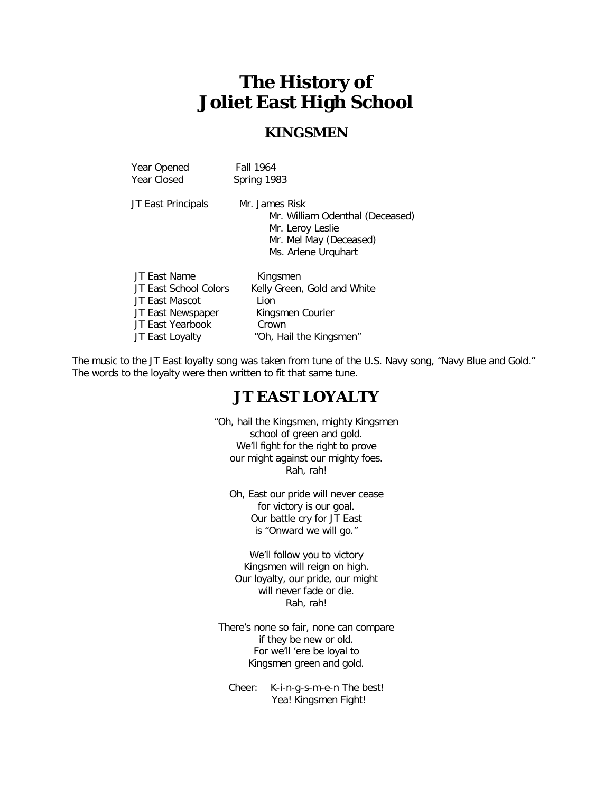# **The History of Joliet East High School**

### **KINGSMEN**

| Year Opened<br>Year Closed | Fall 1964<br>Spring 1983                                                                                               |
|----------------------------|------------------------------------------------------------------------------------------------------------------------|
| JT East Principals         | Mr. James Risk<br>Mr. William Odenthal (Deceased)<br>Mr. Leroy Leslie<br>Mr. Mel May (Deceased)<br>Ms. Arlene Urquhart |
| JT East Name               | Kingsmen                                                                                                               |
| JT East School Colors      | Kelly Green, Gold and White                                                                                            |
| JT East Mascot             | Lion                                                                                                                   |
| JT East Newspaper          | Kingsmen Courier                                                                                                       |
| JT East Yearbook           | Crown                                                                                                                  |
| JT East Loyalty            | "Oh, Hail the Kingsmen"                                                                                                |

The music to the JT East loyalty song was taken from tune of the U.S. Navy song, "Navy Blue and Gold." The words to the loyalty were then written to fit that same tune.

### **JT EAST LOYALTY**

"Oh, hail the Kingsmen, mighty Kingsmen school of green and gold. We'll fight for the right to prove our might against our mighty foes. Rah, rah!

Oh, East our pride will never cease for victory is our goal. Our battle cry for JT East is "Onward we will go."

We'll follow you to victory Kingsmen will reign on high. Our loyalty, our pride, our might will never fade or die. Rah, rah!

There's none so fair, none can compare if they be new or old. For we'll 'ere be loyal to Kingsmen green and gold.

Cheer: K-i-n-g-s-m-e-n The best! Yea! Kingsmen Fight!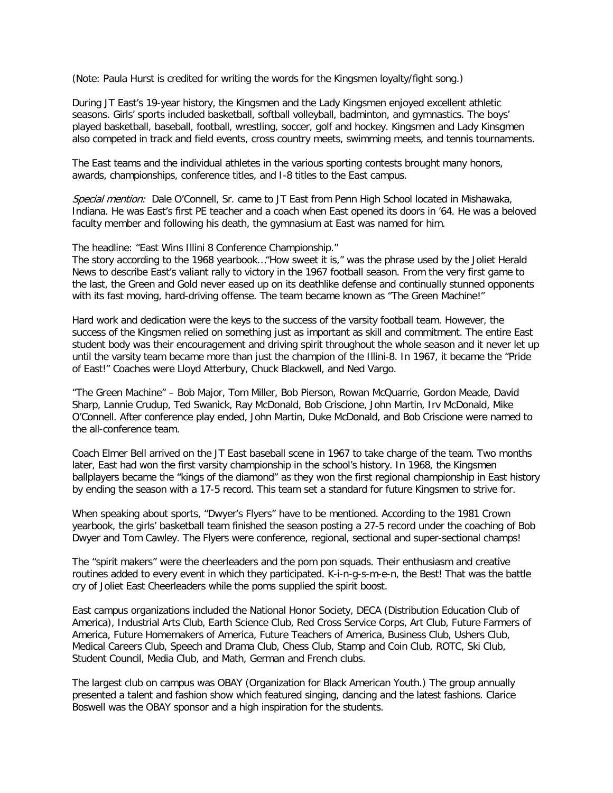(Note: Paula Hurst is credited for writing the words for the Kingsmen loyalty/fight song.)

During JT East's 19-year history, the Kingsmen and the Lady Kingsmen enjoyed excellent athletic seasons. Girls' sports included basketball, softball volleyball, badminton, and gymnastics. The boys' played basketball, baseball, football, wrestling, soccer, golf and hockey. Kingsmen and Lady Kinsgmen also competed in track and field events, cross country meets, swimming meets, and tennis tournaments.

The East teams and the individual athletes in the various sporting contests brought many honors, awards, championships, conference titles, and I-8 titles to the East campus.

Special mention: Dale O'Connell, Sr. came to JT East from Penn High School located in Mishawaka, Indiana. He was East's first PE teacher and a coach when East opened its doors in '64. He was a beloved faculty member and following his death, the gymnasium at East was named for him.

The headline: "East Wins Illini 8 Conference Championship."

The story according to the 1968 yearbook…"How sweet it is," was the phrase used by the Joliet Herald News to describe East's valiant rally to victory in the 1967 football season. From the very first game to the last, the Green and Gold never eased up on its deathlike defense and continually stunned opponents with its fast moving, hard-driving offense. The team became known as "The Green Machine!"

Hard work and dedication were the keys to the success of the varsity football team. However, the success of the Kingsmen relied on something just as important as skill and commitment. The entire East student body was their encouragement and driving spirit throughout the whole season and it never let up until the varsity team became more than just the champion of the Illini-8. In 1967, it became the "Pride of East!" Coaches were Lloyd Atterbury, Chuck Blackwell, and Ned Vargo.

"The Green Machine" – Bob Major, Tom Miller, Bob Pierson, Rowan McQuarrie, Gordon Meade, David Sharp, Lannie Crudup, Ted Swanick, Ray McDonald, Bob Criscione, John Martin, Irv McDonald, Mike O'Connell. After conference play ended, John Martin, Duke McDonald, and Bob Criscione were named to the all-conference team.

Coach Elmer Bell arrived on the JT East baseball scene in 1967 to take charge of the team. Two months later, East had won the first varsity championship in the school's history. In 1968, the Kingsmen ballplayers became the "kings of the diamond" as they won the first regional championship in East history by ending the season with a 17-5 record. This team set a standard for future Kingsmen to strive for.

When speaking about sports, "Dwyer's Flyers" have to be mentioned. According to the 1981 Crown yearbook, the girls' basketball team finished the season posting a 27-5 record under the coaching of Bob Dwyer and Tom Cawley. The Flyers were conference, regional, sectional and super-sectional champs!

The "spirit makers" were the cheerleaders and the pom pon squads. Their enthusiasm and creative routines added to every event in which they participated. K-i-n-g-s-m-e-n, the Best! That was the battle cry of Joliet East Cheerleaders while the poms supplied the spirit boost.

East campus organizations included the National Honor Society, DECA (Distribution Education Club of America), Industrial Arts Club, Earth Science Club, Red Cross Service Corps, Art Club, Future Farmers of America, Future Homemakers of America, Future Teachers of America, Business Club, Ushers Club, Medical Careers Club, Speech and Drama Club, Chess Club, Stamp and Coin Club, ROTC, Ski Club, Student Council, Media Club, and Math, German and French clubs.

The largest club on campus was OBAY (Organization for Black American Youth.) The group annually presented a talent and fashion show which featured singing, dancing and the latest fashions. Clarice Boswell was the OBAY sponsor and a high inspiration for the students.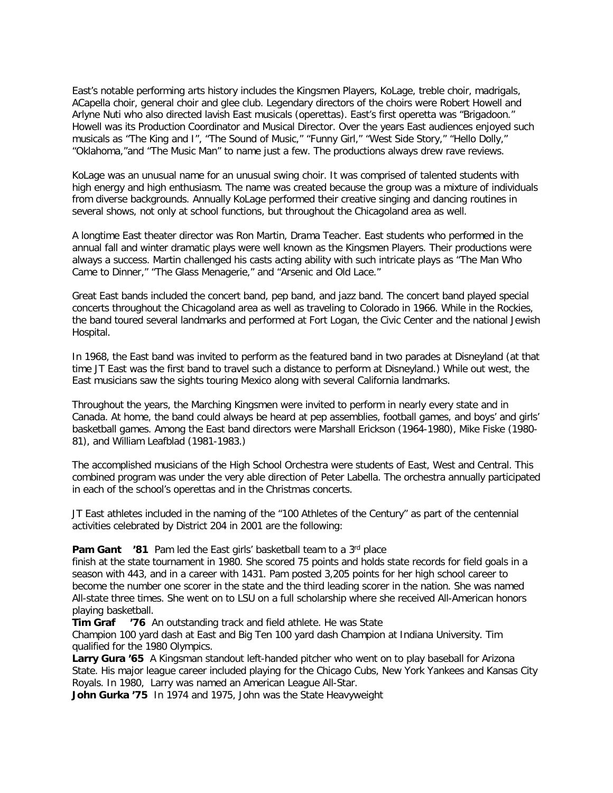East's notable performing arts history includes the Kingsmen Players, KoLage, treble choir, madrigals, ACapella choir, general choir and glee club. Legendary directors of the choirs were Robert Howell and Arlyne Nuti who also directed lavish East musicals (operettas). East's first operetta was "Brigadoon." Howell was its Production Coordinator and Musical Director. Over the years East audiences enjoyed such musicals as "The King and I", "The Sound of Music," "Funny Girl," "West Side Story," "Hello Dolly," "Oklahoma,"and "The Music Man" to name just a few. The productions always drew rave reviews.

KoLage was an unusual name for an unusual swing choir. It was comprised of talented students with high energy and high enthusiasm. The name was created because the group was a mixture of individuals from diverse backgrounds. Annually KoLage performed their creative singing and dancing routines in several shows, not only at school functions, but throughout the Chicagoland area as well.

A longtime East theater director was Ron Martin, Drama Teacher. East students who performed in the annual fall and winter dramatic plays were well known as the Kingsmen Players. Their productions were always a success. Martin challenged his casts acting ability with such intricate plays as "The Man Who Came to Dinner," "The Glass Menagerie," and "Arsenic and Old Lace."

Great East bands included the concert band, pep band, and jazz band. The concert band played special concerts throughout the Chicagoland area as well as traveling to Colorado in 1966. While in the Rockies, the band toured several landmarks and performed at Fort Logan, the Civic Center and the national Jewish Hospital.

In 1968, the East band was invited to perform as the featured band in two parades at Disneyland (at that time JT East was the first band to travel such a distance to perform at Disneyland.) While out west, the East musicians saw the sights touring Mexico along with several California landmarks.

Throughout the years, the Marching Kingsmen were invited to perform in nearly every state and in Canada. At home, the band could always be heard at pep assemblies, football games, and boys' and girls' basketball games. Among the East band directors were Marshall Erickson (1964-1980), Mike Fiske (1980- 81), and William Leafblad (1981-1983.)

The accomplished musicians of the High School Orchestra were students of East, West and Central. This combined program was under the very able direction of Peter Labella. The orchestra annually participated in each of the school's operettas and in the Christmas concerts.

JT East athletes included in the naming of the "100 Athletes of the Century" as part of the centennial activities celebrated by District 204 in 2001 are the following:

#### **Pam Gant** '81 Pam led the East girls' basketball team to a 3<sup>rd</sup> place

finish at the state tournament in 1980. She scored 75 points and holds state records for field goals in a season with 443, and in a career with 1431. Pam posted 3,205 points for her high school career to become the number one scorer in the state and the third leading scorer in the nation. She was named All-state three times. She went on to LSU on a full scholarship where she received All-American honors playing basketball.<br>Tim Graf 76 /

**76** An outstanding track and field athlete. He was State

Champion 100 yard dash at East and Big Ten 100 yard dash Champion at Indiana University. Tim qualified for the 1980 Olympics.

**Larry Gura '65** A Kingsman standout left-handed pitcher who went on to play baseball for Arizona State. His major league career included playing for the Chicago Cubs, New York Yankees and Kansas City Royals. In 1980, Larry was named an American League All-Star.

**John Gurka '75** In 1974 and 1975, John was the State Heavyweight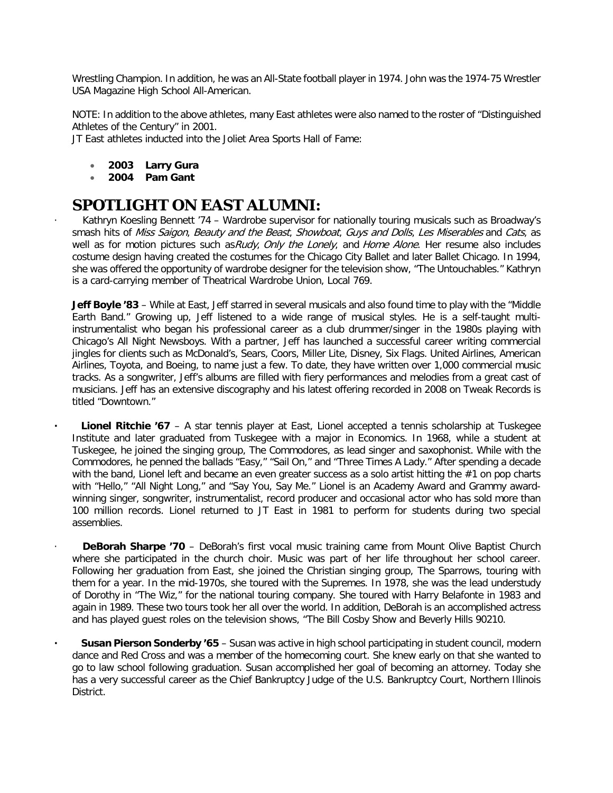Wrestling Champion. In addition, he was an All-State football player in 1974. John was the 1974-75 Wrestler USA Magazine High School All-American.

NOTE: In addition to the above athletes, many East athletes were also named to the roster of "Distinguished Athletes of the Century" in 2001.

JT East athletes inducted into the Joliet Area Sports Hall of Fame:

- **2003 Larry Gura**
- **2004 Pam Gant**

## **SPOTLIGHT ON EAST ALUMNI:**

Kathryn Koesling Bennett '74 - Wardrobe supervisor for nationally touring musicals such as Broadway's smash hits of Miss Saigon, Beauty and the Beast, Showboat, Guys and Dolls, Les Miserables and Cats, as well as for motion pictures such as Rudy, Only the Lonely, and Home Alone. Her resume also includes costume design having created the costumes for the Chicago City Ballet and later Ballet Chicago. In 1994, she was offered the opportunity of wardrobe designer for the television show, "The Untouchables." Kathryn is a card-carrying member of Theatrical Wardrobe Union, Local 769.

**Jeff Boyle '83** – While at East, Jeff starred in several musicals and also found time to play with the "Middle Earth Band." Growing up, Jeff listened to a wide range of musical styles. He is a self-taught multiinstrumentalist who began his professional career as a club drummer/singer in the 1980s playing with Chicago's All Night Newsboys. With a partner, Jeff has launched a successful career writing commercial jingles for clients such as McDonald's, Sears, Coors, Miller Lite, Disney, Six Flags. United Airlines, American Airlines, Toyota, and Boeing, to name just a few. To date, they have written over 1,000 commercial music tracks. As a songwriter, Jeff's albums are filled with fiery performances and melodies from a great cast of musicians. Jeff has an extensive discography and his latest offering recorded in 2008 on Tweak Records is titled "Downtown."

**· Lionel Ritchie '67** – A star tennis player at East, Lionel accepted a tennis scholarship at Tuskegee Institute and later graduated from Tuskegee with a major in Economics. In 1968, while a student at Tuskegee, he joined the singing group, The Commodores, as lead singer and saxophonist. While with the Commodores, he penned the ballads "Easy," "Sail On," and "Three Times A Lady." After spending a decade with the band, Lionel left and became an even greater success as a solo artist hitting the #1 on pop charts with "Hello," "All Night Long," and "Say You, Say Me." Lionel is an Academy Award and Grammy awardwinning singer, songwriter, instrumentalist, record producer and occasional actor who has sold more than 100 million records. Lionel returned to JT East in 1981 to perform for students during two special assemblies.

**DeBorah Sharpe '70** – DeBorah's first vocal music training came from Mount Olive Baptist Church where she participated in the church choir. Music was part of her life throughout her school career. Following her graduation from East, she joined the Christian singing group, The Sparrows, touring with them for a year. In the mid-1970s, she toured with the Supremes. In 1978, she was the lead understudy of Dorothy in "The Wiz," for the national touring company. She toured with Harry Belafonte in 1983 and again in 1989. These two tours took her all over the world. In addition, DeBorah is an accomplished actress and has played guest roles on the television shows, "The Bill Cosby Show and Beverly Hills 90210.

**· Susan Pierson Sonderby '65** – Susan was active in high school participating in student council, modern dance and Red Cross and was a member of the homecoming court. She knew early on that she wanted to go to law school following graduation. Susan accomplished her goal of becoming an attorney. Today she has a very successful career as the Chief Bankruptcy Judge of the U.S. Bankruptcy Court, Northern Illinois District.